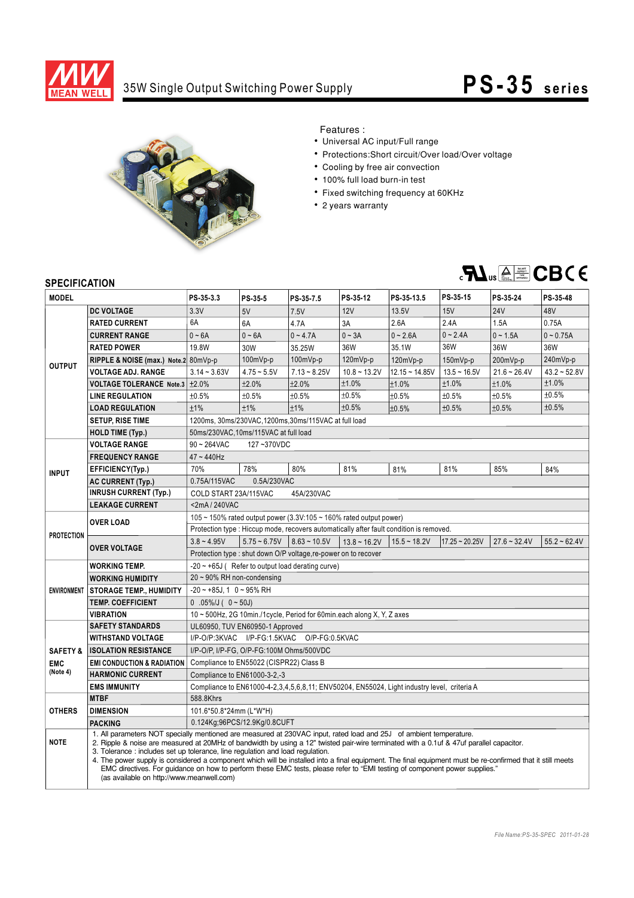

## 35W Single Output Switching Power Supply

## **PS-35** series



Features :

- Universal AC input/Full range
- Protections:Short circuit/Over load/Over voltage
- Cooling by free air convection
- 100% full load burn-in test
- Fixed switching frequency at 60KHz
- 2 years warranty



## **SPECIFICATION**

| <b>MODEL</b>        |                                                                                                                                                                                                                                                                                                                                                                                                                                                                                                                                                                                                                                                                                          | PS-35-3.3                                                              | PS-35-5       | PS-35-7.5                                   | PS-35-12          | PS-35-13.5       | PS-35-15            | PS-35-24       | PS-35-48           |
|---------------------|------------------------------------------------------------------------------------------------------------------------------------------------------------------------------------------------------------------------------------------------------------------------------------------------------------------------------------------------------------------------------------------------------------------------------------------------------------------------------------------------------------------------------------------------------------------------------------------------------------------------------------------------------------------------------------------|------------------------------------------------------------------------|---------------|---------------------------------------------|-------------------|------------------|---------------------|----------------|--------------------|
| <b>OUTPUT</b>       | <b>DC VOLTAGE</b>                                                                                                                                                                                                                                                                                                                                                                                                                                                                                                                                                                                                                                                                        | 3.3V                                                                   | 5V            | 7.5V                                        | 12V               | 13.5V            | 15V                 | <b>24V</b>     | 48V                |
|                     | <b>RATED CURRENT</b>                                                                                                                                                                                                                                                                                                                                                                                                                                                                                                                                                                                                                                                                     | 6A                                                                     | 6A            | 4.7A                                        | 3A                | 2.6A             | 2.4A                | 1.5A           | 0.75A              |
|                     | <b>CURRENT RANGE</b>                                                                                                                                                                                                                                                                                                                                                                                                                                                                                                                                                                                                                                                                     | $0 - 6A$                                                               | $0 - 6A$      | $0 - 4.7A$                                  | $0 - 3A$          | $0 - 2.6A$       | $0 - 2.4A$          | $0 - 1.5A$     | $0 - 0.75A$        |
|                     | <b>RATED POWER</b>                                                                                                                                                                                                                                                                                                                                                                                                                                                                                                                                                                                                                                                                       | 19.8W                                                                  | 30W           | 35.25W                                      | 36W               | 35.1W            | 36W                 | 36W            | 36W                |
|                     | RIPPLE & NOISE (max.) Note.2 80mVp-p                                                                                                                                                                                                                                                                                                                                                                                                                                                                                                                                                                                                                                                     |                                                                        | $100mVp-p$    | $100mVp-p$                                  | 120mVp-p          | 120mVp-p         | $150mVp-p$          | 200mVp-p       | 240mVp-p           |
|                     | <b>VOLTAGE ADJ. RANGE</b>                                                                                                                                                                                                                                                                                                                                                                                                                                                                                                                                                                                                                                                                | $3.14 - 3.63V$                                                         | $4.75 - 5.5V$ | $7.13 - 8.25V$                              | $10.8 - 13.2V$    | $12.15 - 14.85V$ | $13.5 - 16.5V$      | $21.6 - 26.4V$ | $43.2 - 52.8V$     |
|                     | VOLTAGE TOLERANCE Note.3 ±2.0%                                                                                                                                                                                                                                                                                                                                                                                                                                                                                                                                                                                                                                                           |                                                                        | ±2.0%         | ±2.0%                                       | ±1.0%             | ±1.0%            | ±1.0%               | ±1.0%          | ±1.0%              |
|                     | <b>LINE REGULATION</b>                                                                                                                                                                                                                                                                                                                                                                                                                                                                                                                                                                                                                                                                   | ±0.5%                                                                  | ±0.5%         | ±0.5%                                       | ±0.5%             | ±0.5%            | ±0.5%               | ±0.5%          | ±0.5%              |
|                     | <b>LOAD REGULATION</b>                                                                                                                                                                                                                                                                                                                                                                                                                                                                                                                                                                                                                                                                   | ±1%                                                                    | ±1%           | ±1%                                         | ±0.5%             | ±0.5%            | ±0.5%               | ±0.5%          | ±0.5%              |
|                     | <b>SETUP, RISE TIME</b>                                                                                                                                                                                                                                                                                                                                                                                                                                                                                                                                                                                                                                                                  | 1200ms, 30ms/230VAC, 1200ms, 30ms/115VAC at full load                  |               |                                             |                   |                  |                     |                |                    |
|                     | <b>HOLD TIME (Typ.)</b>                                                                                                                                                                                                                                                                                                                                                                                                                                                                                                                                                                                                                                                                  | 50ms/230VAC,10ms/115VAC at full load                                   |               |                                             |                   |                  |                     |                |                    |
| <b>INPUT</b>        | <b>VOLTAGE RANGE</b>                                                                                                                                                                                                                                                                                                                                                                                                                                                                                                                                                                                                                                                                     | $90 - 264$ VAC<br>127~370VDC                                           |               |                                             |                   |                  |                     |                |                    |
|                     | <b>FREQUENCY RANGE</b>                                                                                                                                                                                                                                                                                                                                                                                                                                                                                                                                                                                                                                                                   | $47 - 440$ Hz                                                          |               |                                             |                   |                  |                     |                |                    |
|                     | EFFICIENCY(Typ.)                                                                                                                                                                                                                                                                                                                                                                                                                                                                                                                                                                                                                                                                         | 70%                                                                    | 78%           | 80%                                         | 81%               | 81%              | 81%                 | 85%            | 84%                |
|                     | <b>AC CURRENT (Typ.)</b>                                                                                                                                                                                                                                                                                                                                                                                                                                                                                                                                                                                                                                                                 | 0.75A/115VAC<br>0.5A/230VAC                                            |               |                                             |                   |                  |                     |                |                    |
|                     | <b>INRUSH CURRENT (Typ.)</b>                                                                                                                                                                                                                                                                                                                                                                                                                                                                                                                                                                                                                                                             | COLD START 23A/115VAC<br>45A/230VAC                                    |               |                                             |                   |                  |                     |                |                    |
|                     | <b>LEAKAGE CURRENT</b>                                                                                                                                                                                                                                                                                                                                                                                                                                                                                                                                                                                                                                                                   | <2mA/240VAC                                                            |               |                                             |                   |                  |                     |                |                    |
| <b>PROTECTION</b>   | <b>OVER LOAD</b>                                                                                                                                                                                                                                                                                                                                                                                                                                                                                                                                                                                                                                                                         | 105 ~ 150% rated output power (3.3V:105 ~ 160% rated output power)     |               |                                             |                   |                  |                     |                |                    |
|                     | Protection type : Hiccup mode, recovers automatically after fault condition is removed.                                                                                                                                                                                                                                                                                                                                                                                                                                                                                                                                                                                                  |                                                                        |               |                                             |                   |                  |                     |                |                    |
|                     | <b>OVER VOLTAGE</b>                                                                                                                                                                                                                                                                                                                                                                                                                                                                                                                                                                                                                                                                      | $3.8 - 4.95V$                                                          |               | $5.75 \approx 6.75V$   8.63 $\approx$ 10.5V | $13.8 \sim 16.2V$ | $15.5 - 18.2V$   | $17.25 \sim 20.25V$ | $27.6 - 32.4V$ | $55.2 \div 62.4$ V |
|                     |                                                                                                                                                                                                                                                                                                                                                                                                                                                                                                                                                                                                                                                                                          | Protection type : shut down O/P voltage, re-power on to recover        |               |                                             |                   |                  |                     |                |                    |
| <b>ENVIRONMENT</b>  | <b>WORKING TEMP.</b>                                                                                                                                                                                                                                                                                                                                                                                                                                                                                                                                                                                                                                                                     | $-20 \sim +65$ J (Refer to output load derating curve)                 |               |                                             |                   |                  |                     |                |                    |
|                     | <b>WORKING HUMIDITY</b>                                                                                                                                                                                                                                                                                                                                                                                                                                                                                                                                                                                                                                                                  | $20 \sim 90\%$ RH non-condensing                                       |               |                                             |                   |                  |                     |                |                    |
|                     | <b>STORAGE TEMP., HUMIDITY</b>                                                                                                                                                                                                                                                                                                                                                                                                                                                                                                                                                                                                                                                           | $-20$ ~ +85J, 1 0 ~ 95% RH                                             |               |                                             |                   |                  |                     |                |                    |
|                     | <b>TEMP, COEFFICIENT</b>                                                                                                                                                                                                                                                                                                                                                                                                                                                                                                                                                                                                                                                                 | $0.05\%$ /J ( $0 \sim 50$ J)                                           |               |                                             |                   |                  |                     |                |                    |
|                     | <b>VIBRATION</b>                                                                                                                                                                                                                                                                                                                                                                                                                                                                                                                                                                                                                                                                         | 10 ~ 500Hz, 2G 10min./1cycle, Period for 60min.each along X, Y, Z axes |               |                                             |                   |                  |                     |                |                    |
|                     | <b>SAFETY STANDARDS</b><br>UL60950, TUV EN60950-1 Approved                                                                                                                                                                                                                                                                                                                                                                                                                                                                                                                                                                                                                               |                                                                        |               |                                             |                   |                  |                     |                |                    |
|                     | <b>WITHSTAND VOLTAGE</b>                                                                                                                                                                                                                                                                                                                                                                                                                                                                                                                                                                                                                                                                 | I/P-O/P:3KVAC I/P-FG:1.5KVAC O/P-FG:0.5KVAC                            |               |                                             |                   |                  |                     |                |                    |
| <b>SAFETY &amp;</b> | <b>ISOLATION RESISTANCE</b>                                                                                                                                                                                                                                                                                                                                                                                                                                                                                                                                                                                                                                                              | I/P-O/P, I/P-FG, O/P-FG:100M Ohms/500VDC                               |               |                                             |                   |                  |                     |                |                    |
| <b>EMC</b>          | <b>EMI CONDUCTION &amp; RADIATION</b>                                                                                                                                                                                                                                                                                                                                                                                                                                                                                                                                                                                                                                                    | Compliance to EN55022 (CISPR22) Class B                                |               |                                             |                   |                  |                     |                |                    |
| (Note 4)            | <b>HARMONIC CURRENT</b>                                                                                                                                                                                                                                                                                                                                                                                                                                                                                                                                                                                                                                                                  | Compliance to EN61000-3-2,-3                                           |               |                                             |                   |                  |                     |                |                    |
|                     | <b>EMS IMMUNITY</b><br>Compliance to EN61000-4-2,3,4,5,6,8,11; ENV50204, EN55024, Light industry level, criteria A                                                                                                                                                                                                                                                                                                                                                                                                                                                                                                                                                                       |                                                                        |               |                                             |                   |                  |                     |                |                    |
| <b>OTHERS</b>       | <b>MTBF</b>                                                                                                                                                                                                                                                                                                                                                                                                                                                                                                                                                                                                                                                                              | 588.8Khrs                                                              |               |                                             |                   |                  |                     |                |                    |
|                     | <b>DIMENSION</b>                                                                                                                                                                                                                                                                                                                                                                                                                                                                                                                                                                                                                                                                         | 101.6*50.8*24mm (L*W*H)                                                |               |                                             |                   |                  |                     |                |                    |
|                     | PACKING                                                                                                                                                                                                                                                                                                                                                                                                                                                                                                                                                                                                                                                                                  | 0.124Kg;96PCS/12.9Kg/0.8CUFT                                           |               |                                             |                   |                  |                     |                |                    |
| <b>NOTE</b>         | 1. All parameters NOT specially mentioned are measured at 230VAC input, rated load and 25J of ambient temperature.<br>2. Ripple & noise are measured at 20MHz of bandwidth by using a 12" twisted pair-wire terminated with a 0.1uf & 47uf parallel capacitor.<br>3. Tolerance: includes set up tolerance, line regulation and load regulation.<br>4. The power supply is considered a component which will be installed into a final equipment. The final equipment must be re-confirmed that it still meets<br>EMC directives. For quidance on how to perform these EMC tests, please refer to "EMI testing of component power supplies."<br>(as available on http://www.meanwell.com) |                                                                        |               |                                             |                   |                  |                     |                |                    |